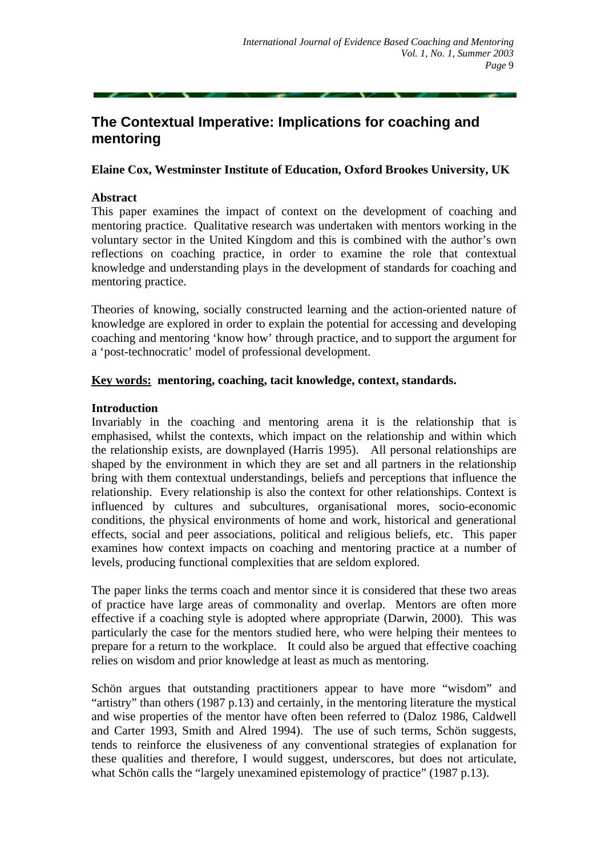# **The Contextual Imperative: Implications for coaching and mentoring**

## **Elaine Cox, Westminster Institute of Education, Oxford Brookes University, UK**

#### **Abstract**

This paper examines the impact of context on the development of coaching and mentoring practice. Qualitative research was undertaken with mentors working in the voluntary sector in the United Kingdom and this is combined with the author's own reflections on coaching practice, in order to examine the role that contextual knowledge and understanding plays in the development of standards for coaching and mentoring practice.

Theories of knowing, socially constructed learning and the action-oriented nature of knowledge are explored in order to explain the potential for accessing and developing coaching and mentoring 'know how' through practice, and to support the argument for a 'post-technocratic' model of professional development.

## **Key words: mentoring, coaching, tacit knowledge, context, standards.**

## **Introduction**

Invariably in the coaching and mentoring arena it is the relationship that is emphasised, whilst the contexts, which impact on the relationship and within which the relationship exists, are downplayed (Harris 1995). All personal relationships are shaped by the environment in which they are set and all partners in the relationship bring with them contextual understandings, beliefs and perceptions that influence the relationship. Every relationship is also the context for other relationships. Context is influenced by cultures and subcultures, organisational mores, socio-economic conditions, the physical environments of home and work, historical and generational effects, social and peer associations, political and religious beliefs, etc. This paper examines how context impacts on coaching and mentoring practice at a number of levels, producing functional complexities that are seldom explored.

The paper links the terms coach and mentor since it is considered that these two areas of practice have large areas of commonality and overlap. Mentors are often more effective if a coaching style is adopted where appropriate (Darwin, 2000). This was particularly the case for the mentors studied here, who were helping their mentees to prepare for a return to the workplace. It could also be argued that effective coaching relies on wisdom and prior knowledge at least as much as mentoring.

Schön argues that outstanding practitioners appear to have more "wisdom" and "artistry" than others (1987 p.13) and certainly, in the mentoring literature the mystical and wise properties of the mentor have often been referred to (Daloz 1986, Caldwell and Carter 1993, Smith and Alred 1994). The use of such terms, Schön suggests, tends to reinforce the elusiveness of any conventional strategies of explanation for these qualities and therefore, I would suggest, underscores, but does not articulate, what Schön calls the "largely unexamined epistemology of practice" (1987 p.13).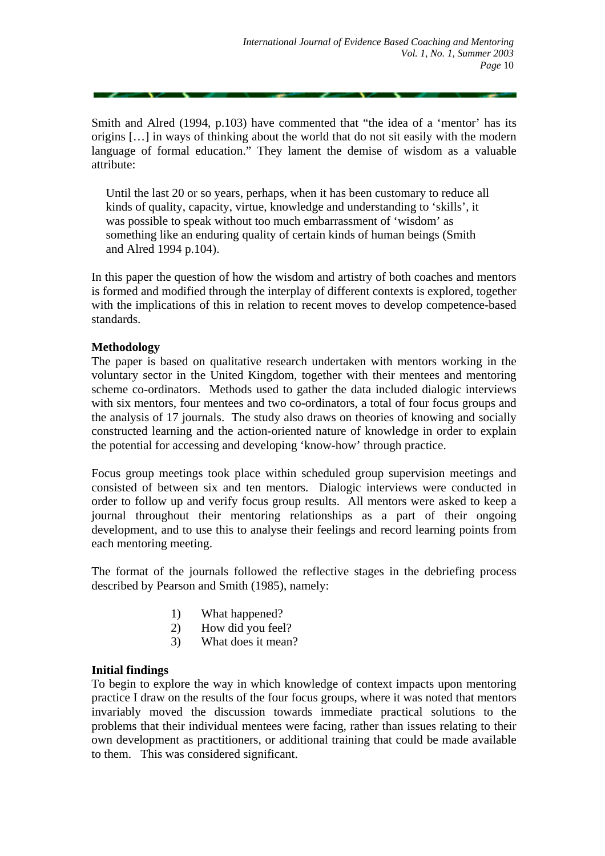Smith and Alred (1994, p.103) have commented that "the idea of a 'mentor' has its origins […] in ways of thinking about the world that do not sit easily with the modern language of formal education." They lament the demise of wisdom as a valuable attribute:

Until the last 20 or so years, perhaps, when it has been customary to reduce all kinds of quality, capacity, virtue, knowledge and understanding to 'skills', it was possible to speak without too much embarrassment of 'wisdom' as something like an enduring quality of certain kinds of human beings (Smith and Alred 1994 p.104).

In this paper the question of how the wisdom and artistry of both coaches and mentors is formed and modified through the interplay of different contexts is explored, together with the implications of this in relation to recent moves to develop competence-based standards.

## **Methodology**

The paper is based on qualitative research undertaken with mentors working in the voluntary sector in the United Kingdom, together with their mentees and mentoring scheme co-ordinators. Methods used to gather the data included dialogic interviews with six mentors, four mentees and two co-ordinators, a total of four focus groups and the analysis of 17 journals. The study also draws on theories of knowing and socially constructed learning and the action-oriented nature of knowledge in order to explain the potential for accessing and developing 'know-how' through practice.

Focus group meetings took place within scheduled group supervision meetings and consisted of between six and ten mentors. Dialogic interviews were conducted in order to follow up and verify focus group results. All mentors were asked to keep a journal throughout their mentoring relationships as a part of their ongoing development, and to use this to analyse their feelings and record learning points from each mentoring meeting.

The format of the journals followed the reflective stages in the debriefing process described by Pearson and Smith (1985), namely:

- 1) What happened?
- 2) How did you feel?
- 3) What does it mean?

# **Initial findings**

To begin to explore the way in which knowledge of context impacts upon mentoring practice I draw on the results of the four focus groups, where it was noted that mentors invariably moved the discussion towards immediate practical solutions to the problems that their individual mentees were facing, rather than issues relating to their own development as practitioners, or additional training that could be made available to them. This was considered significant.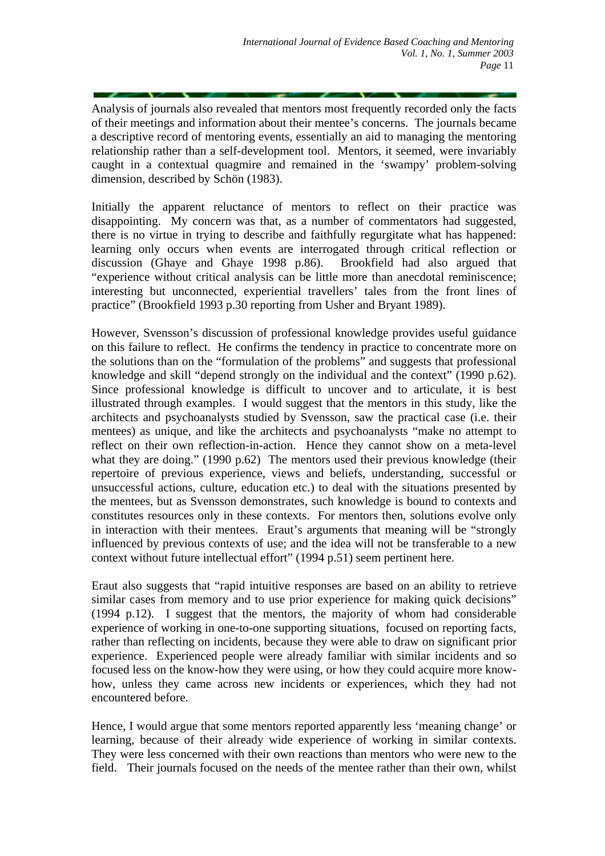Analysis of journals also revealed that mentors most frequently recorded only the facts of their meetings and information about their mentee's concerns. The journals became a descriptive record of mentoring events, essentially an aid to managing the mentoring relationship rather than a self-development tool. Mentors, it seemed, were invariably caught in a contextual quagmire and remained in the 'swampy' problem-solving dimension, described by Schön (1983).

Initially the apparent reluctance of mentors to reflect on their practice was disappointing. My concern was that, as a number of commentators had suggested, there is no virtue in trying to describe and faithfully regurgitate what has happened: learning only occurs when events are interrogated through critical reflection or discussion (Ghaye and Ghaye 1998 p.86). Brookfield had also argued that "experience without critical analysis can be little more than anecdotal reminiscence; interesting but unconnected, experiential travellers' tales from the front lines of practice" (Brookfield 1993 p.30 reporting from Usher and Bryant 1989).

However, Svensson's discussion of professional knowledge provides useful guidance on this failure to reflect. He confirms the tendency in practice to concentrate more on the solutions than on the "formulation of the problems" and suggests that professional knowledge and skill "depend strongly on the individual and the context" (1990 p.62). Since professional knowledge is difficult to uncover and to articulate, it is best illustrated through examples. I would suggest that the mentors in this study, like the architects and psychoanalysts studied by Svensson, saw the practical case (i.e. their mentees) as unique, and like the architects and psychoanalysts "make no attempt to reflect on their own reflection-in-action. Hence they cannot show on a meta-level what they are doing." (1990 p.62) The mentors used their previous knowledge (their repertoire of previous experience, views and beliefs, understanding, successful or unsuccessful actions, culture, education etc.) to deal with the situations presented by the mentees, but as Svensson demonstrates, such knowledge is bound to contexts and constitutes resources only in these contexts. For mentors then, solutions evolve only in interaction with their mentees. Eraut's arguments that meaning will be "strongly influenced by previous contexts of use; and the idea will not be transferable to a new context without future intellectual effort" (1994 p.51) seem pertinent here.

Eraut also suggests that "rapid intuitive responses are based on an ability to retrieve similar cases from memory and to use prior experience for making quick decisions" (1994 p.12). I suggest that the mentors, the majority of whom had considerable experience of working in one-to-one supporting situations, focused on reporting facts, rather than reflecting on incidents, because they were able to draw on significant prior experience. Experienced people were already familiar with similar incidents and so focused less on the know-how they were using, or how they could acquire more knowhow, unless they came across new incidents or experiences, which they had not encountered before.

Hence, I would argue that some mentors reported apparently less 'meaning change' or learning, because of their already wide experience of working in similar contexts. They were less concerned with their own reactions than mentors who were new to the field. Their journals focused on the needs of the mentee rather than their own, whilst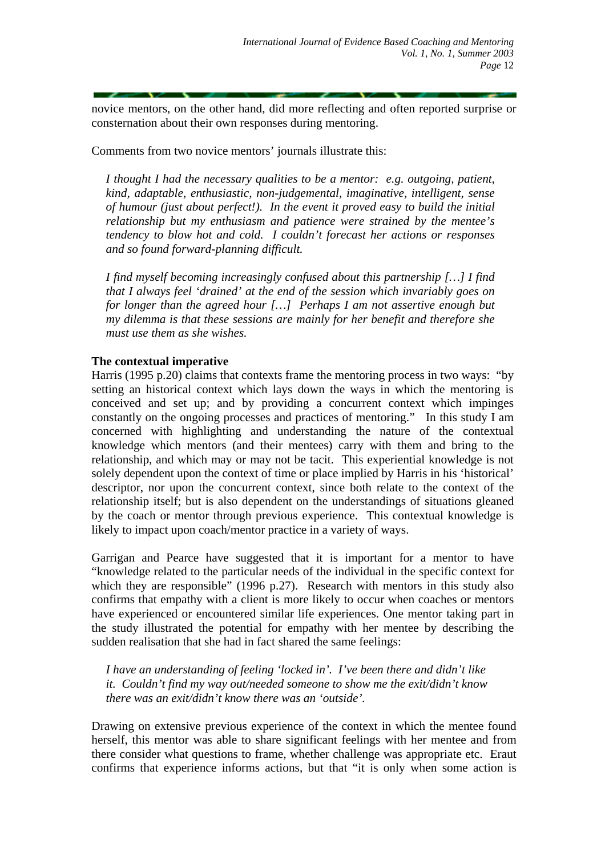novice mentors, on the other hand, did more reflecting and often reported surprise or consternation about their own responses during mentoring.

Comments from two novice mentors' journals illustrate this:

*I thought I had the necessary qualities to be a mentor: e.g. outgoing, patient, kind, adaptable, enthusiastic, non-judgemental, imaginative, intelligent, sense of humour (just about perfect!). In the event it proved easy to build the initial relationship but my enthusiasm and patience were strained by the mentee's tendency to blow hot and cold. I couldn't forecast her actions or responses and so found forward-planning difficult.* 

*I find myself becoming increasingly confused about this partnership […] I find that I always feel 'drained' at the end of the session which invariably goes on for longer than the agreed hour […] Perhaps I am not assertive enough but my dilemma is that these sessions are mainly for her benefit and therefore she must use them as she wishes.* 

# **The contextual imperative**

Harris (1995 p.20) claims that contexts frame the mentoring process in two ways: "by setting an historical context which lays down the ways in which the mentoring is conceived and set up; and by providing a concurrent context which impinges constantly on the ongoing processes and practices of mentoring." In this study I am concerned with highlighting and understanding the nature of the contextual knowledge which mentors (and their mentees) carry with them and bring to the relationship, and which may or may not be tacit. This experiential knowledge is not solely dependent upon the context of time or place implied by Harris in his 'historical' descriptor, nor upon the concurrent context, since both relate to the context of the relationship itself; but is also dependent on the understandings of situations gleaned by the coach or mentor through previous experience. This contextual knowledge is likely to impact upon coach/mentor practice in a variety of ways.

Garrigan and Pearce have suggested that it is important for a mentor to have "knowledge related to the particular needs of the individual in the specific context for which they are responsible" (1996 p.27). Research with mentors in this study also confirms that empathy with a client is more likely to occur when coaches or mentors have experienced or encountered similar life experiences. One mentor taking part in the study illustrated the potential for empathy with her mentee by describing the sudden realisation that she had in fact shared the same feelings:

*I have an understanding of feeling 'locked in'. I've been there and didn't like it. Couldn't find my way out/needed someone to show me the exit/didn't know there was an exit/didn't know there was an 'outside'.* 

Drawing on extensive previous experience of the context in which the mentee found herself, this mentor was able to share significant feelings with her mentee and from there consider what questions to frame, whether challenge was appropriate etc. Eraut confirms that experience informs actions, but that "it is only when some action is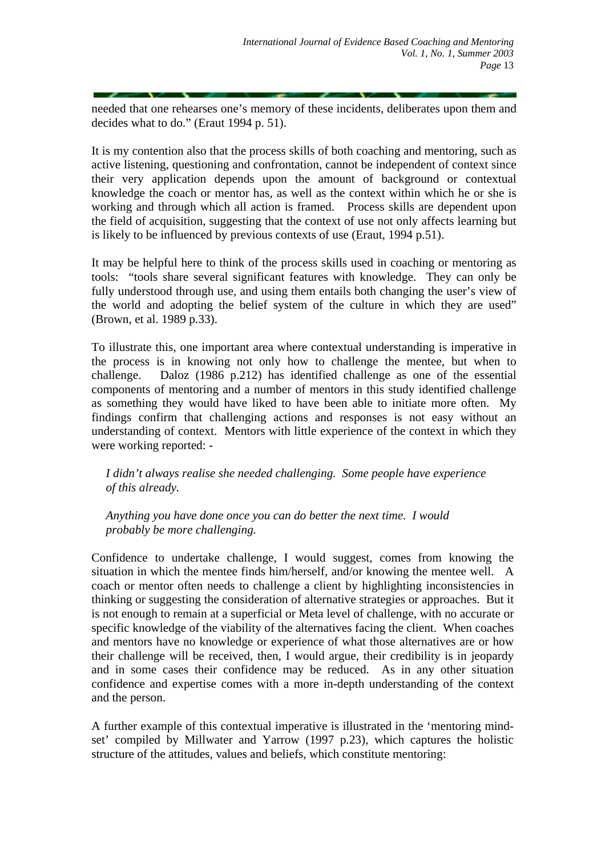needed that one rehearses one's memory of these incidents, deliberates upon them and decides what to do." (Eraut 1994 p. 51).

It is my contention also that the process skills of both coaching and mentoring, such as active listening, questioning and confrontation, cannot be independent of context since their very application depends upon the amount of background or contextual knowledge the coach or mentor has, as well as the context within which he or she is working and through which all action is framed. Process skills are dependent upon the field of acquisition, suggesting that the context of use not only affects learning but is likely to be influenced by previous contexts of use (Eraut, 1994 p.51).

It may be helpful here to think of the process skills used in coaching or mentoring as tools: "tools share several significant features with knowledge. They can only be fully understood through use, and using them entails both changing the user's view of the world and adopting the belief system of the culture in which they are used" (Brown, et al. 1989 p.33).

To illustrate this, one important area where contextual understanding is imperative in the process is in knowing not only how to challenge the mentee, but when to challenge. Daloz (1986 p.212) has identified challenge as one of the essential components of mentoring and a number of mentors in this study identified challenge as something they would have liked to have been able to initiate more often. My findings confirm that challenging actions and responses is not easy without an understanding of context. Mentors with little experience of the context in which they were working reported: -

*I didn't always realise she needed challenging. Some people have experience of this already.* 

*Anything you have done once you can do better the next time. I would probably be more challenging.* 

Confidence to undertake challenge, I would suggest, comes from knowing the situation in which the mentee finds him/herself, and/or knowing the mentee well. A coach or mentor often needs to challenge a client by highlighting inconsistencies in thinking or suggesting the consideration of alternative strategies or approaches. But it is not enough to remain at a superficial or Meta level of challenge, with no accurate or specific knowledge of the viability of the alternatives facing the client. When coaches and mentors have no knowledge or experience of what those alternatives are or how their challenge will be received, then, I would argue, their credibility is in jeopardy and in some cases their confidence may be reduced. As in any other situation confidence and expertise comes with a more in-depth understanding of the context and the person.

A further example of this contextual imperative is illustrated in the 'mentoring mindset' compiled by Millwater and Yarrow (1997 p.23), which captures the holistic structure of the attitudes, values and beliefs, which constitute mentoring: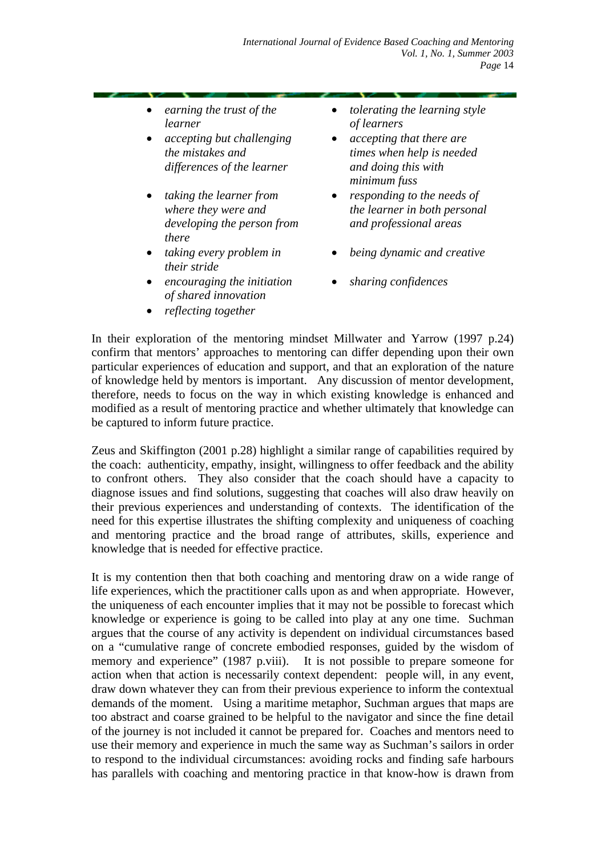- *earning the trust of the learner*
- *accepting but challenging the mistakes and differences of the learner*
- *taking the learner from where they were and developing the person from there*
- *taking every problem in their stride*
- *encouraging the initiation of shared innovation*
- *reflecting together*
- *tolerating the learning style of learners*
- *accepting that there are times when help is needed and doing this with minimum fuss*
- *responding to the needs of the learner in both personal and professional areas*
- *being dynamic and creative*
- *sharing confidences*

In their exploration of the mentoring mindset Millwater and Yarrow (1997 p.24) confirm that mentors' approaches to mentoring can differ depending upon their own particular experiences of education and support, and that an exploration of the nature of knowledge held by mentors is important. Any discussion of mentor development, therefore, needs to focus on the way in which existing knowledge is enhanced and modified as a result of mentoring practice and whether ultimately that knowledge can be captured to inform future practice.

Zeus and Skiffington (2001 p.28) highlight a similar range of capabilities required by the coach: authenticity, empathy, insight, willingness to offer feedback and the ability to confront others. They also consider that the coach should have a capacity to diagnose issues and find solutions, suggesting that coaches will also draw heavily on their previous experiences and understanding of contexts. The identification of the need for this expertise illustrates the shifting complexity and uniqueness of coaching and mentoring practice and the broad range of attributes, skills, experience and knowledge that is needed for effective practice.

It is my contention then that both coaching and mentoring draw on a wide range of life experiences, which the practitioner calls upon as and when appropriate. However, the uniqueness of each encounter implies that it may not be possible to forecast which knowledge or experience is going to be called into play at any one time. Suchman argues that the course of any activity is dependent on individual circumstances based on a "cumulative range of concrete embodied responses, guided by the wisdom of memory and experience" (1987 p.viii). It is not possible to prepare someone for action when that action is necessarily context dependent: people will, in any event, draw down whatever they can from their previous experience to inform the contextual demands of the moment. Using a maritime metaphor, Suchman argues that maps are too abstract and coarse grained to be helpful to the navigator and since the fine detail of the journey is not included it cannot be prepared for. Coaches and mentors need to use their memory and experience in much the same way as Suchman's sailors in order to respond to the individual circumstances: avoiding rocks and finding safe harbours has parallels with coaching and mentoring practice in that know-how is drawn from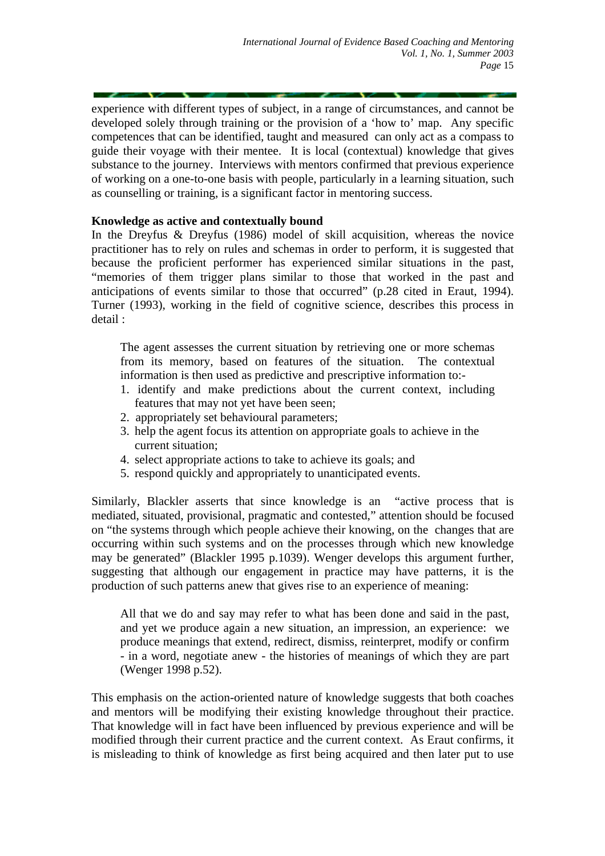experience with different types of subject, in a range of circumstances, and cannot be developed solely through training or the provision of a 'how to' map. Any specific competences that can be identified, taught and measured can only act as a compass to guide their voyage with their mentee. It is local (contextual) knowledge that gives substance to the journey. Interviews with mentors confirmed that previous experience of working on a one-to-one basis with people, particularly in a learning situation, such as counselling or training, is a significant factor in mentoring success.

# **Knowledge as active and contextually bound**

In the Dreyfus & Dreyfus (1986) model of skill acquisition, whereas the novice practitioner has to rely on rules and schemas in order to perform, it is suggested that because the proficient performer has experienced similar situations in the past, "memories of them trigger plans similar to those that worked in the past and anticipations of events similar to those that occurred" (p.28 cited in Eraut, 1994). Turner (1993), working in the field of cognitive science, describes this process in detail :

The agent assesses the current situation by retrieving one or more schemas from its memory, based on features of the situation. The contextual information is then used as predictive and prescriptive information to:-

- 1. identify and make predictions about the current context, including features that may not yet have been seen;
- 2. appropriately set behavioural parameters;
- 3. help the agent focus its attention on appropriate goals to achieve in the current situation;
- 4. select appropriate actions to take to achieve its goals; and
- 5. respond quickly and appropriately to unanticipated events.

Similarly, Blackler asserts that since knowledge is an "active process that is mediated, situated, provisional, pragmatic and contested," attention should be focused on "the systems through which people achieve their knowing, on the changes that are occurring within such systems and on the processes through which new knowledge may be generated" (Blackler 1995 p.1039). Wenger develops this argument further, suggesting that although our engagement in practice may have patterns, it is the production of such patterns anew that gives rise to an experience of meaning:

All that we do and say may refer to what has been done and said in the past, and yet we produce again a new situation, an impression, an experience: we produce meanings that extend, redirect, dismiss, reinterpret, modify or confirm - in a word, negotiate anew - the histories of meanings of which they are part (Wenger 1998 p.52).

This emphasis on the action-oriented nature of knowledge suggests that both coaches and mentors will be modifying their existing knowledge throughout their practice. That knowledge will in fact have been influenced by previous experience and will be modified through their current practice and the current context. As Eraut confirms, it is misleading to think of knowledge as first being acquired and then later put to use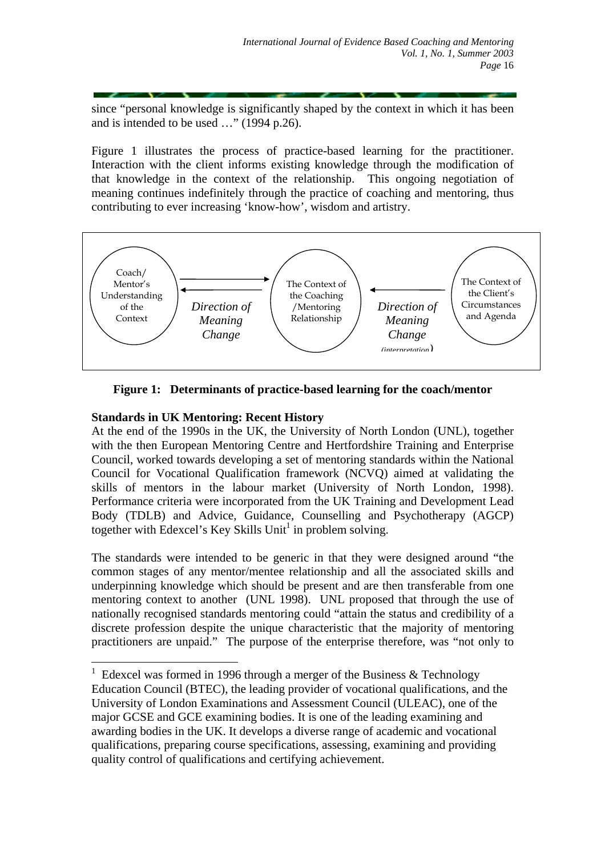since "personal knowledge is significantly shaped by the context in which it has been and is intended to be used …" (1994 p.26).

Figure 1 illustrates the process of practice-based learning for the practitioner. Interaction with the client informs existing knowledge through the modification of that knowledge in the context of the relationship. This ongoing negotiation of meaning continues indefinitely through the practice of coaching and mentoring, thus contributing to ever increasing 'know-how', wisdom and artistry.



**Figure 1: Determinants of practice-based learning for the coach/mentor** 

## **Standards in UK Mentoring: Recent History**

 $\overline{a}$ 

At the end of the 1990s in the UK, the University of North London (UNL), together with the then European Mentoring Centre and Hertfordshire Training and Enterprise Council, worked towards developing a set of mentoring standards within the National Council for Vocational Qualification framework (NCVQ) aimed at validating the skills of mentors in the labour market (University of North London, 1998). Performance criteria were incorporated from the UK Training and Development Lead Body (TDLB) and Advice, Guidance, Counselling and Psychotherapy (AGCP) together with Edexcel's Key Skills Unit<sup>[1](#page-7-0)</sup> in problem solving.

The standards were intended to be generic in that they were designed around "the common stages of any mentor/mentee relationship and all the associated skills and underpinning knowledge which should be present and are then transferable from one mentoring context to another (UNL 1998). UNL proposed that through the use of nationally recognised standards mentoring could "attain the status and credibility of a discrete profession despite the unique characteristic that the majority of mentoring practitioners are unpaid." The purpose of the enterprise therefore, was "not only to

<span id="page-7-0"></span><sup>&</sup>lt;sup>1</sup> Edexcel was formed in 1996 through a merger of the Business  $\&$  Technology Education Council (BTEC), the leading provider of vocational qualifications, and the University of London Examinations and Assessment Council (ULEAC), one of the major GCSE and GCE examining bodies. It is one of the leading examining and awarding bodies in the UK. It develops a diverse range of academic and vocational qualifications, preparing course specifications, assessing, examining and providing quality control of qualifications and certifying achievement.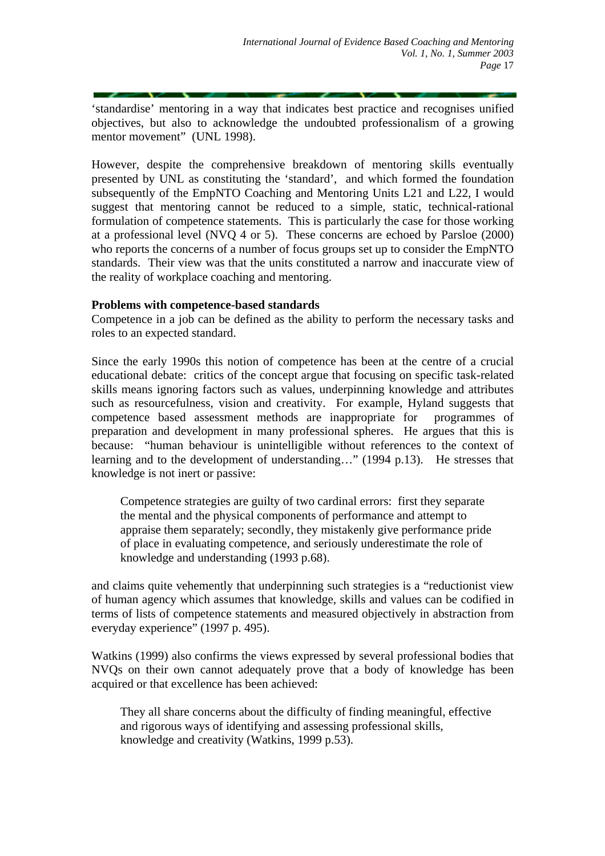'standardise' mentoring in a way that indicates best practice and recognises unified objectives, but also to acknowledge the undoubted professionalism of a growing mentor movement" (UNL 1998).

However, despite the comprehensive breakdown of mentoring skills eventually presented by UNL as constituting the 'standard', and which formed the foundation subsequently of the EmpNTO Coaching and Mentoring Units L21 and L22, I would suggest that mentoring cannot be reduced to a simple, static, technical-rational formulation of competence statements. This is particularly the case for those working at a professional level (NVQ 4 or 5). These concerns are echoed by Parsloe (2000) who reports the concerns of a number of focus groups set up to consider the EmpNTO standards. Their view was that the units constituted a narrow and inaccurate view of the reality of workplace coaching and mentoring.

## **Problems with competence-based standards**

Competence in a job can be defined as the ability to perform the necessary tasks and roles to an expected standard.

Since the early 1990s this notion of competence has been at the centre of a crucial educational debate: critics of the concept argue that focusing on specific task-related skills means ignoring factors such as values, underpinning knowledge and attributes such as resourcefulness, vision and creativity. For example, Hyland suggests that competence based assessment methods are inappropriate for programmes of preparation and development in many professional spheres. He argues that this is because: "human behaviour is unintelligible without references to the context of learning and to the development of understanding…" (1994 p.13). He stresses that knowledge is not inert or passive:

Competence strategies are guilty of two cardinal errors: first they separate the mental and the physical components of performance and attempt to appraise them separately; secondly, they mistakenly give performance pride of place in evaluating competence, and seriously underestimate the role of knowledge and understanding (1993 p.68).

and claims quite vehemently that underpinning such strategies is a "reductionist view of human agency which assumes that knowledge, skills and values can be codified in terms of lists of competence statements and measured objectively in abstraction from everyday experience" (1997 p. 495).

Watkins (1999) also confirms the views expressed by several professional bodies that NVQs on their own cannot adequately prove that a body of knowledge has been acquired or that excellence has been achieved:

They all share concerns about the difficulty of finding meaningful, effective and rigorous ways of identifying and assessing professional skills, knowledge and creativity (Watkins, 1999 p.53).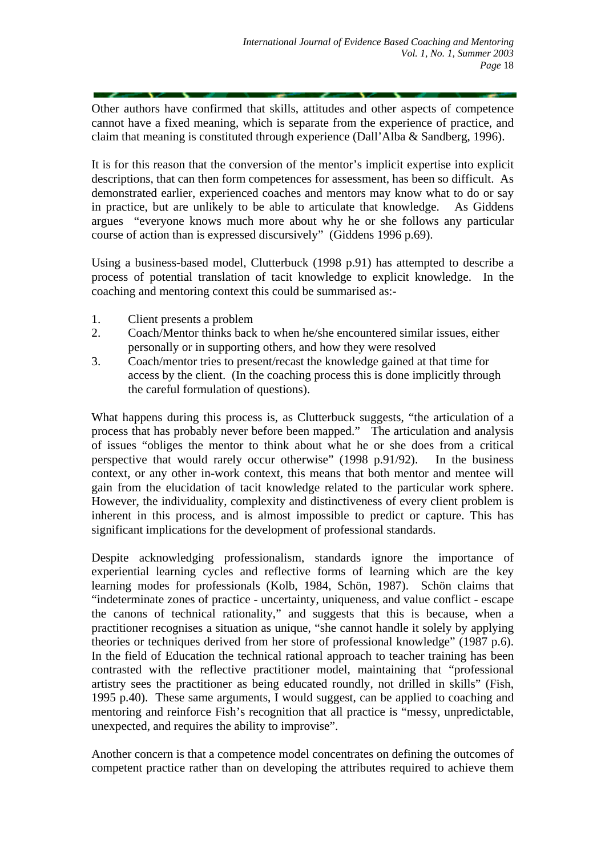Other authors have confirmed that skills, attitudes and other aspects of competence cannot have a fixed meaning, which is separate from the experience of practice, and claim that meaning is constituted through experience (Dall'Alba & Sandberg, 1996).

It is for this reason that the conversion of the mentor's implicit expertise into explicit descriptions, that can then form competences for assessment, has been so difficult. As demonstrated earlier, experienced coaches and mentors may know what to do or say in practice, but are unlikely to be able to articulate that knowledge. As Giddens argues "everyone knows much more about why he or she follows any particular course of action than is expressed discursively" (Giddens 1996 p.69).

Using a business-based model, Clutterbuck (1998 p.91) has attempted to describe a process of potential translation of tacit knowledge to explicit knowledge. In the coaching and mentoring context this could be summarised as:-

- 1. Client presents a problem
- 2. Coach/Mentor thinks back to when he/she encountered similar issues, either personally or in supporting others, and how they were resolved
- 3. Coach/mentor tries to present/recast the knowledge gained at that time for access by the client. (In the coaching process this is done implicitly through the careful formulation of questions).

What happens during this process is, as Clutterbuck suggests, "the articulation of a process that has probably never before been mapped." The articulation and analysis of issues "obliges the mentor to think about what he or she does from a critical perspective that would rarely occur otherwise" (1998 p.91/92). In the business context, or any other in-work context, this means that both mentor and mentee will gain from the elucidation of tacit knowledge related to the particular work sphere. However, the individuality, complexity and distinctiveness of every client problem is inherent in this process, and is almost impossible to predict or capture. This has significant implications for the development of professional standards.

Despite acknowledging professionalism, standards ignore the importance of experiential learning cycles and reflective forms of learning which are the key learning modes for professionals (Kolb, 1984, Schön, 1987). Schön claims that "indeterminate zones of practice - uncertainty, uniqueness, and value conflict - escape the canons of technical rationality," and suggests that this is because, when a practitioner recognises a situation as unique, "she cannot handle it solely by applying theories or techniques derived from her store of professional knowledge" (1987 p.6). In the field of Education the technical rational approach to teacher training has been contrasted with the reflective practitioner model, maintaining that "professional artistry sees the practitioner as being educated roundly, not drilled in skills" (Fish, 1995 p.40). These same arguments, I would suggest, can be applied to coaching and mentoring and reinforce Fish's recognition that all practice is "messy, unpredictable, unexpected, and requires the ability to improvise".

Another concern is that a competence model concentrates on defining the outcomes of competent practice rather than on developing the attributes required to achieve them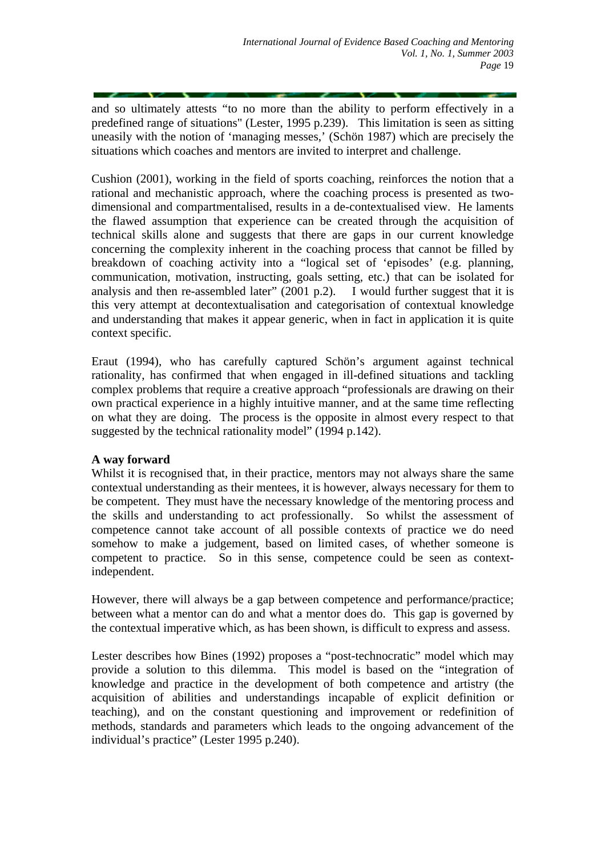and so ultimately attests "to no more than the ability to perform effectively in a predefined range of situations" (Lester, 1995 p.239). This limitation is seen as sitting uneasily with the notion of 'managing messes,' (Schön 1987) which are precisely the situations which coaches and mentors are invited to interpret and challenge.

Cushion (2001), working in the field of sports coaching, reinforces the notion that a rational and mechanistic approach, where the coaching process is presented as twodimensional and compartmentalised, results in a de-contextualised view. He laments the flawed assumption that experience can be created through the acquisition of technical skills alone and suggests that there are gaps in our current knowledge concerning the complexity inherent in the coaching process that cannot be filled by breakdown of coaching activity into a "logical set of 'episodes' (e.g. planning, communication, motivation, instructing, goals setting, etc.) that can be isolated for analysis and then re-assembled later" (2001 p.2). I would further suggest that it is this very attempt at decontextualisation and categorisation of contextual knowledge and understanding that makes it appear generic, when in fact in application it is quite context specific.

Eraut (1994), who has carefully captured Schön's argument against technical rationality, has confirmed that when engaged in ill-defined situations and tackling complex problems that require a creative approach "professionals are drawing on their own practical experience in a highly intuitive manner, and at the same time reflecting on what they are doing. The process is the opposite in almost every respect to that suggested by the technical rationality model" (1994 p.142).

# **A way forward**

Whilst it is recognised that, in their practice, mentors may not always share the same contextual understanding as their mentees, it is however, always necessary for them to be competent. They must have the necessary knowledge of the mentoring process and the skills and understanding to act professionally. So whilst the assessment of competence cannot take account of all possible contexts of practice we do need somehow to make a judgement, based on limited cases, of whether someone is competent to practice. So in this sense, competence could be seen as contextindependent.

However, there will always be a gap between competence and performance/practice; between what a mentor can do and what a mentor does do. This gap is governed by the contextual imperative which, as has been shown, is difficult to express and assess.

Lester describes how Bines (1992) proposes a "post-technocratic" model which may provide a solution to this dilemma. This model is based on the "integration of knowledge and practice in the development of both competence and artistry (the acquisition of abilities and understandings incapable of explicit definition or teaching), and on the constant questioning and improvement or redefinition of methods, standards and parameters which leads to the ongoing advancement of the individual's practice" (Lester 1995 p.240).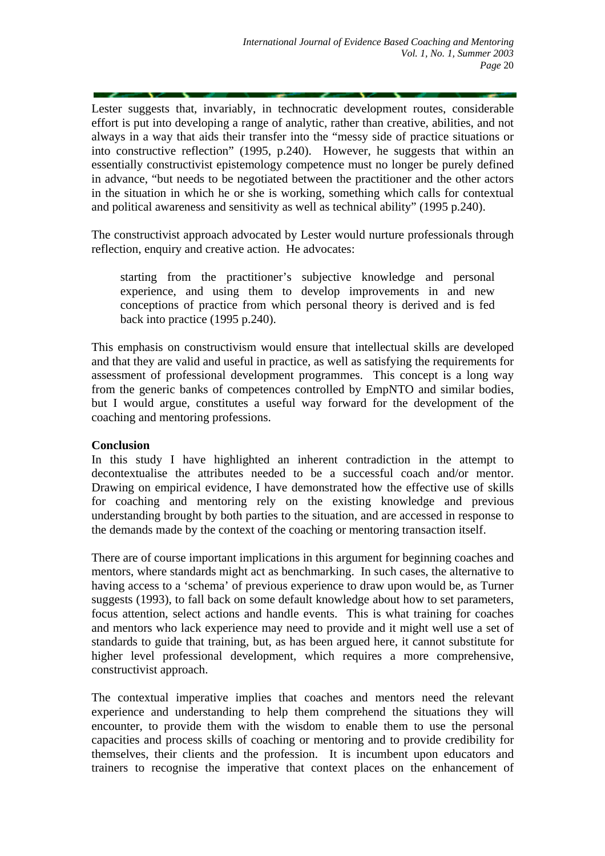Lester suggests that, invariably, in technocratic development routes, considerable effort is put into developing a range of analytic, rather than creative, abilities, and not always in a way that aids their transfer into the "messy side of practice situations or into constructive reflection" (1995, p.240). However, he suggests that within an essentially constructivist epistemology competence must no longer be purely defined in advance, "but needs to be negotiated between the practitioner and the other actors in the situation in which he or she is working, something which calls for contextual and political awareness and sensitivity as well as technical ability" (1995 p.240).

The constructivist approach advocated by Lester would nurture professionals through reflection, enquiry and creative action. He advocates:

starting from the practitioner's subjective knowledge and personal experience, and using them to develop improvements in and new conceptions of practice from which personal theory is derived and is fed back into practice (1995 p.240).

This emphasis on constructivism would ensure that intellectual skills are developed and that they are valid and useful in practice, as well as satisfying the requirements for assessment of professional development programmes. This concept is a long way from the generic banks of competences controlled by EmpNTO and similar bodies, but I would argue, constitutes a useful way forward for the development of the coaching and mentoring professions.

#### **Conclusion**

In this study I have highlighted an inherent contradiction in the attempt to decontextualise the attributes needed to be a successful coach and/or mentor. Drawing on empirical evidence, I have demonstrated how the effective use of skills for coaching and mentoring rely on the existing knowledge and previous understanding brought by both parties to the situation, and are accessed in response to the demands made by the context of the coaching or mentoring transaction itself.

There are of course important implications in this argument for beginning coaches and mentors, where standards might act as benchmarking. In such cases, the alternative to having access to a 'schema' of previous experience to draw upon would be, as Turner suggests (1993), to fall back on some default knowledge about how to set parameters, focus attention, select actions and handle events. This is what training for coaches and mentors who lack experience may need to provide and it might well use a set of standards to guide that training, but, as has been argued here, it cannot substitute for higher level professional development, which requires a more comprehensive, constructivist approach.

The contextual imperative implies that coaches and mentors need the relevant experience and understanding to help them comprehend the situations they will encounter, to provide them with the wisdom to enable them to use the personal capacities and process skills of coaching or mentoring and to provide credibility for themselves, their clients and the profession. It is incumbent upon educators and trainers to recognise the imperative that context places on the enhancement of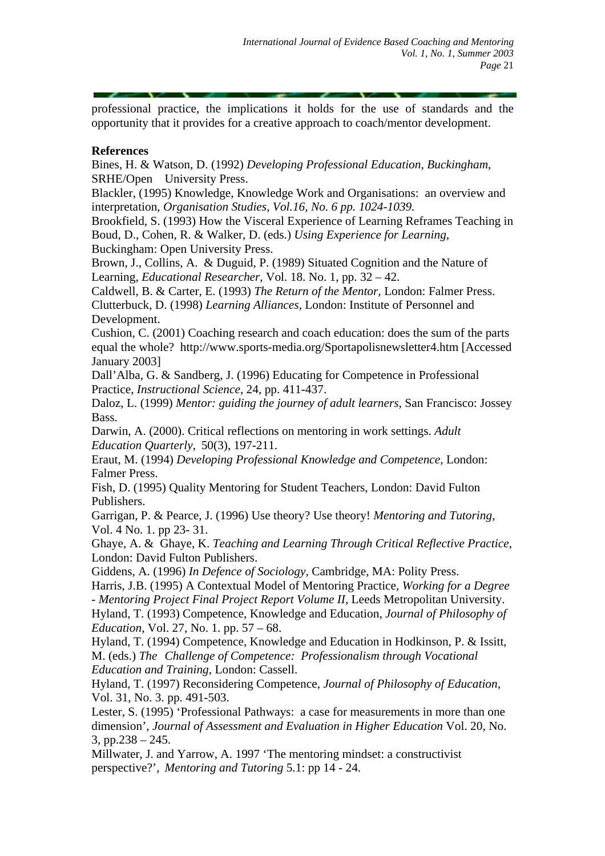professional practice, the implications it holds for the use of standards and the opportunity that it provides for a creative approach to coach/mentor development.

## **References**

Bines, H. & Watson, D. (1992) *Developing Professional Education, Buckingham*, SRHE/Open University Press.

Blackler, (1995) Knowledge, Knowledge Work and Organisations: an overview and interpretation, *Organisation Studies, Vol.16, No. 6 pp. 1024-1039.* 

Brookfield, S. (1993) How the Visceral Experience of Learning Reframes Teaching in Boud, D., Cohen, R. & Walker, D. (eds.) *Using Experience for Learning*, Buckingham: Open University Press.

Brown, J., Collins, A. & Duguid, P. (1989) Situated Cognition and the Nature of Learning, *Educational Researcher*, Vol. 18. No. 1, pp. 32 – 42.

Caldwell, B. & Carter, E. (1993) *The Return of the Mentor,* London: Falmer Press. Clutterbuck, D. (1998) *Learning Alliances*, London: Institute of Personnel and Development.

Cushion, C. (2001) Coaching research and coach education: does the sum of the parts equal the whole? <http://www.sports-media.org/Sportapolisnewsletter4.htm>[Accessed January 2003]

Dall'Alba, G. & Sandberg, J. (1996) Educating for Competence in Professional Practice, *Instructional Science*, 24, pp. 411-437.

Daloz, L. (1999) *Mentor: guiding the journey of adult learners*, San Francisco: Jossey Bass.

Darwin, A. (2000). Critical reflections on mentoring in work settings. *Adult Education Quarterly*, 50(3), 197-211.

Eraut, M. (1994) *Developing Professional Knowledge and Competence,* London: Falmer Press.

Fish, D. (1995) Quality Mentoring for Student Teachers, London: David Fulton Publishers.

Garrigan, P. & Pearce, J. (1996) Use theory? Use theory! *Mentoring and Tutoring*, Vol. 4 No. 1. pp 23- 31.

Ghaye, A. & Ghaye, K. *Teaching and Learning Through Critical Reflective Practice*, London: David Fulton Publishers.

Giddens, A. (1996) *In Defence of Sociology*, Cambridge, MA: Polity Press.

Harris, J.B. (1995) A Contextual Model of Mentoring Practice, *Working for a Degree - Mentoring Project Final Project Report Volume II,* Leeds Metropolitan University.

Hyland, T. (1993) Competence, Knowledge and Education, *Journal of Philosophy of Education*, Vol. 27, No. 1. pp. 57 – 68.

Hyland, T. (1994) Competence, Knowledge and Education in Hodkinson, P. & Issitt, M. (eds.) *The Challenge of Competence: Professionalism through Vocational Education and Training*, London: Cassell.

Hyland, T. (1997) Reconsidering Competence, *Journal of Philosophy of Education,*  Vol. 31, No. 3. pp. 491-503.

Lester, S. (1995) 'Professional Pathways: a case for measurements in more than one dimension', *Journal of Assessment and Evaluation in Higher Education* Vol. 20, No. 3, pp.238 – 245.

Millwater, J. and Yarrow, A. 1997 'The mentoring mindset: a constructivist perspective?', *Mentoring and Tutoring* 5.1: pp 14 - 24.